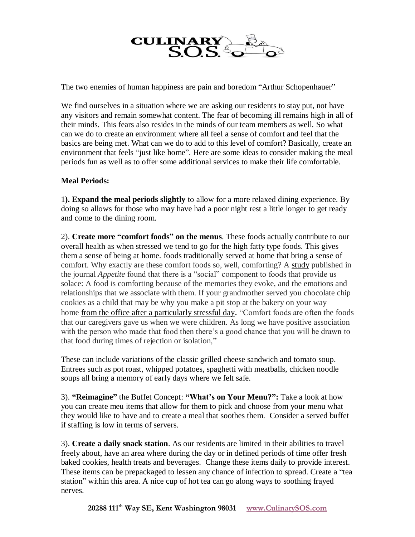

The two enemies of human happiness are pain and boredom "Arthur Schopenhauer"

We find ourselves in a situation where we are asking our residents to stay put, not have any visitors and remain somewhat content. The fear of becoming ill remains high in all of their minds. This fears also resides in the minds of our team members as well. So what can we do to create an environment where all feel a sense of comfort and feel that the basics are being met. What can we do to add to this level of comfort? Basically, create an environment that feels "just like home". Here are some ideas to consider making the meal periods fun as well as to offer some additional services to make their life comfortable.

## **Meal Periods:**

1**). Expand the meal periods slightly** to allow for a more relaxed dining experience. By doing so allows for those who may have had a poor night rest a little longer to get ready and come to the dining room.

2). **Create more "comfort foods" on the menus**. These foods actually contribute to our overall health as when stressed we tend to go for the high fatty type foods. This gives them a sense of being at home. foods traditionally served at home that bring a sense of comfort. Why exactly are these comfort foods so, well, comforting? A [study](http://www.ncbi.nlm.nih.gov/pubmed/25728881) published in the journal *Appetite* found that there is a "social" component to foods that provide us solace: A food is comforting because of the memories they evoke, and the emotions and relationships that we associate with them. If your grandmother served you chocolate chip cookies as a child that may be why you make a pit stop at the bakery on your way home from [the office after a particularly stressful day](https://www.nbcnews.com/better/health/how-deal-work-stress-according-bartenders-ncna820756). "Comfort foods are often the foods that our caregivers gave us when we were children. As long we have positive association with the person who made that food then there's a good chance that you will be drawn to that food during times of rejection or isolation,"

These can include variations of the classic grilled cheese sandwich and tomato soup. Entrees such as pot roast, whipped potatoes, spaghetti with meatballs, chicken noodle soups all bring a memory of early days where we felt safe.

3). **"Reimagine"** the Buffet Concept: **"What's on Your Menu?":** Take a look at how you can create meu items that allow for them to pick and choose from your menu what they would like to have and to create a meal that soothes them. Consider a served buffet if staffing is low in terms of servers.

3). **Create a daily snack station**. As our residents are limited in their abilities to travel freely about, have an area where during the day or in defined periods of time offer fresh baked cookies, health treats and beverages. Change these items daily to provide interest. These items can be prepackaged to lessen any chance of infection to spread. Create a "tea station" within this area. A nice cup of hot tea can go along ways to soothing frayed nerves.